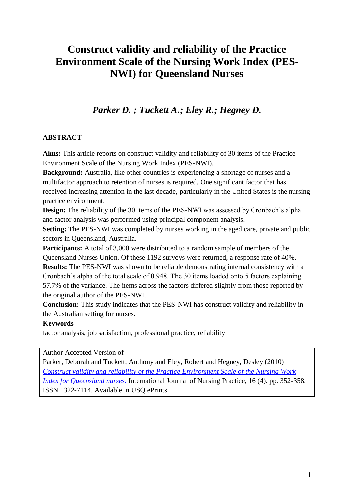# **Construct validity and reliability of the Practice Environment Scale of the Nursing Work Index (PES-NWI) for Queensland Nurses**

## *Parker D. ; Tuckett A.; Eley R.; Hegney D.*

## **ABSTRACT**

**Aims:** This article reports on construct validity and reliability of 30 items of the Practice Environment Scale of the Nursing Work Index (PES-NWI).

**Background:** Australia, like other countries is experiencing a shortage of nurses and a multifactor approach to retention of nurses is required. One significant factor that has received increasing attention in the last decade, particularly in the United States is the nursing practice environment.

**Design:** The reliability of the 30 items of the PES-NWI was assessed by Cronbach's alpha and factor analysis was performed using principal component analysis.

**Setting:** The PES-NWI was completed by nurses working in the aged care, private and public sectors in Queensland, Australia.

**Participants:** A total of 3,000 were distributed to a random sample of members of the Queensland Nurses Union. Of these 1192 surveys were returned, a response rate of 40%.

**Results:** The PES-NWI was shown to be reliable demonstrating internal consistency with a Cronbach's alpha of the total scale of 0.948. The 30 items loaded onto 5 factors explaining 57.7% of the variance. The items across the factors differed slightly from those reported by the original author of the PES-NWI.

**Conclusion:** This study indicates that the PES-NWI has construct validity and reliability in the Australian setting for nurses.

## **Keywords**

factor analysis, job satisfaction, professional practice, reliability

Author Accepted Version of

Parker, Deborah and Tuckett, Anthony and Eley, Robert and Hegney, Desley (2010) *[Construct validity and reliability of the Practice Environment Scale of the Nursing Work](http://eprints.usq.edu.au/8506/)  [Index for Queensland nurses.](http://eprints.usq.edu.au/8506/)* International Journal of Nursing Practice, 16 (4). pp. 352-358. ISSN 1322-7114. Available in USQ ePrints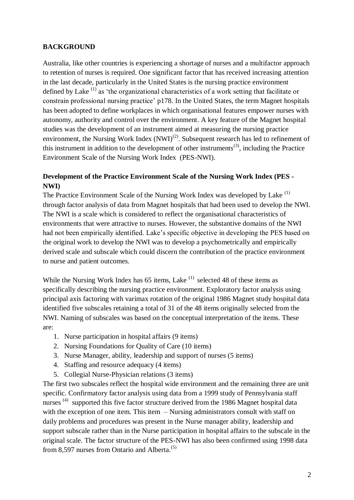## **BACKGROUND**

Australia, like other countries is experiencing a shortage of nurses and a multifactor approach to retention of nurses is required. One significant factor that has received increasing attention in the last decade, particularly in the United States is the nursing practice environment defined by Lake  $(1)$  as 'the organizational characteristics of a work setting that facilitate or constrain professional nursing practice' p178. In the United States, the term Magnet hospitals has been adopted to define workplaces in which organisational features empower nurses with autonomy, authority and control over the environment. A key feature of the Magnet hospital studies was the development of an instrument aimed at measuring the nursing practice environment, the Nursing Work Index  $(NWI)^{(2)}$ . Subsequent research has led to refinement of this instrument in addition to the development of other instruments<sup> $(3)$ </sup>, including the Practice Environment Scale of the Nursing Work Index (PES-NWI).

## **Development of the Practice Environment Scale of the Nursing Work Index (PES - NWI)**

The Practice Environment Scale of the Nursing Work Index was developed by Lake (1) through factor analysis of data from Magnet hospitals that had been used to develop the NWI. The NWI is a scale which is considered to reflect the organisational characteristics of environments that were attractive to nurses. However, the substantive domains of the NWI had not been empirically identified. Lake's specific objective in developing the PES based on the original work to develop the NWI was to develop a psychometrically and empirically derived scale and subscale which could discern the contribution of the practice environment to nurse and patient outcomes.

While the Nursing Work Index has  $65$  items, Lake  $(1)$  selected 48 of these items as specifically describing the nursing practice environment. Exploratory factor analysis using principal axis factoring with varimax rotation of the original 1986 Magnet study hospital data identified five subscales retaining a total of 31 of the 48 items originally selected from the NWI. Naming of subscales was based on the conceptual interpretation of the items. These are:

- 1. Nurse participation in hospital affairs (9 items)
- 2. Nursing Foundations for Quality of Care (10 items)
- 3. Nurse Manager, ability, leadership and support of nurses (5 items)
- 4. Staffing and resource adequacy (4 items)
- 5. Collegial Nurse-Physician relations (3 items)

The first two subscales reflect the hospital wide environment and the remaining three are unit specific. Confirmatory factor analysis using data from a 1999 study of Pennsylvania staff nurses<sup>(4)</sup> supported this five factor structure derived from the 1986 Magnet hospital data with the exception of one item. This item – Nursing administrators consult with staff on daily problems and procedures was present in the Nurse manager ability, leadership and support subscale rather than in the Nurse participation in hospital affairs to the subscale in the original scale. The factor structure of the PES-NWI has also been confirmed using 1998 data from 8.597 nurses from Ontario and Alberta. $(5)$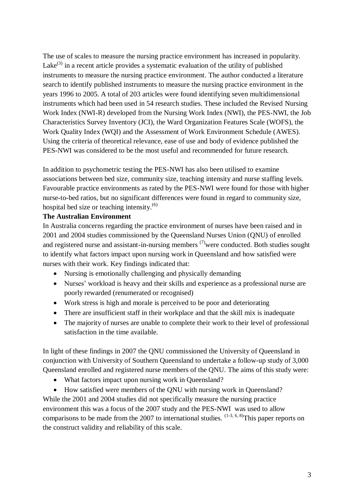The use of scales to measure the nursing practice environment has increased in popularity. Lake $^{(3)}$  in a recent article provides a systematic evaluation of the utility of published instruments to measure the nursing practice environment. The author conducted a literature search to identify published instruments to measure the nursing practice environment in the years 1996 to 2005. A total of 203 articles were found identifying seven multidimensional instruments which had been used in 54 research studies. These included the Revised Nursing Work Index (NWI-R) developed from the Nursing Work Index (NWI), the PES-NWI, the Job Characteristics Survey Inventory (JCI), the Ward Organization Features Scale (WOFS), the Work Quality Index (WQI) and the Assessment of Work Environment Schedule (AWES). Using the criteria of theoretical relevance, ease of use and body of evidence published the PES-NWI was considered to be the most useful and recommended for future research.

In addition to psychometric testing the PES-NWI has also been utilised to examine associations between bed size, community size, teaching intensity and nurse staffing levels. Favourable practice environments as rated by the PES-NWI were found for those with higher nurse-to-bed ratios, but no significant differences were found in regard to community size, hospital bed size or teaching intensity. $(6)$ 

## **The Australian Environment**

In Australia concerns regarding the practice environment of nurses have been raised and in 2001 and 2004 studies commissioned by the Queensland Nurses Union (QNU) of enrolled and registered nurse and assistant-in-nursing members  $(7)$  were conducted. Both studies sought to identify what factors impact upon nursing work in Queensland and how satisfied were nurses with their work. Key findings indicated that:

- Nursing is emotionally challenging and physically demanding
- Nurses' workload is heavy and their skills and experience as a professional nurse are poorly rewarded (renumerated or recognised)
- Work stress is high and morale is perceived to be poor and deteriorating
- There are insufficient staff in their workplace and that the skill mix is inadequate
- The majority of nurses are unable to complete their work to their level of professional satisfaction in the time available.

In light of these findings in 2007 the QNU commissioned the University of Queensland in conjunction with University of Southern Queensland to undertake a follow-up study of 3,000 Queensland enrolled and registered nurse members of the QNU. The aims of this study were:

- What factors impact upon nursing work in Queensland?
- How satisfied were members of the QNU with nursing work in Queensland?

While the 2001 and 2004 studies did not specifically measure the nursing practice environment this was a focus of the 2007 study and the PES-NWI was used to allow comparisons to be made from the 2007 to international studies.  $(1-3, 6, 8)$ This paper reports on the construct validity and reliability of this scale.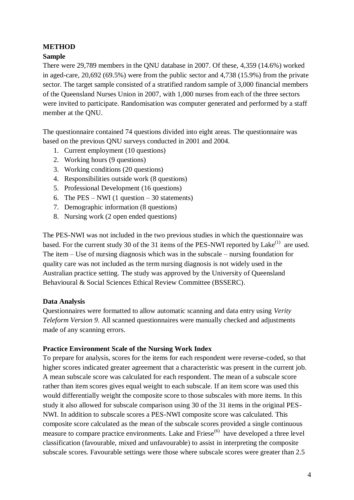## **METHOD**

## **Sample**

There were 29,789 members in the QNU database in 2007. Of these, 4,359 (14.6%) worked in aged-care, 20,692 (69.5%) were from the public sector and 4,738 (15.9%) from the private sector. The target sample consisted of a stratified random sample of 3,000 financial members of the Queensland Nurses Union in 2007, with 1,000 nurses from each of the three sectors were invited to participate. Randomisation was computer generated and performed by a staff member at the QNU.

The questionnaire contained 74 questions divided into eight areas. The questionnaire was based on the previous QNU surveys conducted in 2001 and 2004.

- 1. Current employment (10 questions)
- 2. Working hours (9 questions)
- 3. Working conditions (20 questions)
- 4. Responsibilities outside work (8 questions)
- 5. Professional Development (16 questions)
- 6. The PES NWI (1 question 30 statements)
- 7. Demographic information (8 questions)
- 8. Nursing work (2 open ended questions)

The PES-NWI was not included in the two previous studies in which the questionnaire was based. For the current study 30 of the 31 items of the PES-NWI reported by Lake<sup>(1)</sup> are used. The item – Use of nursing diagnosis which was in the subscale – nursing foundation for quality care was not included as the term nursing diagnosis is not widely used in the Australian practice setting. The study was approved by the University of Queensland Behavioural & Social Sciences Ethical Review Committee (BSSERC).

## **Data Analysis**

Questionnaires were formatted to allow automatic scanning and data entry using *Verity Teleform Version 9*. All scanned questionnaires were manually checked and adjustments made of any scanning errors.

## **Practice Environment Scale of the Nursing Work Index**

To prepare for analysis, scores for the items for each respondent were reverse-coded, so that higher scores indicated greater agreement that a characteristic was present in the current job. A mean subscale score was calculated for each respondent. The mean of a subscale score rather than item scores gives equal weight to each subscale. If an item score was used this would differentially weight the composite score to those subscales with more items. In this study it also allowed for subscale comparison using 30 of the 31 items in the original PES-NWI. In addition to subscale scores a PES-NWI composite score was calculated. This composite score calculated as the mean of the subscale scores provided a single continuous measure to compare practice environments. Lake and Friese<sup>(6)</sup> have developed a three level classification (favourable, mixed and unfavourable) to assist in interpreting the composite subscale scores. Favourable settings were those where subscale scores were greater than 2.5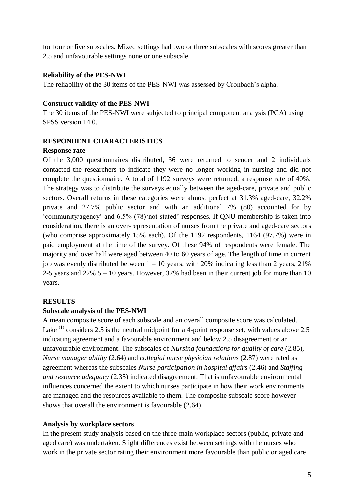for four or five subscales. Mixed settings had two or three subscales with scores greater than 2.5 and unfavourable settings none or one subscale.

#### **Reliability of the PES-NWI**

The reliability of the 30 items of the PES-NWI was assessed by Cronbach's alpha.

#### **Construct validity of the PES-NWI**

The 30 items of the PES-NWI were subjected to principal component analysis (PCA) using SPSS version 14.0.

#### **RESPONDENT CHARACTERISTICS**

#### **Response rate**

Of the 3,000 questionnaires distributed, 36 were returned to sender and 2 individuals contacted the researchers to indicate they were no longer working in nursing and did not complete the questionnaire. A total of 1192 surveys were returned, a response rate of 40%. The strategy was to distribute the surveys equally between the aged-care, private and public sectors. Overall returns in these categories were almost perfect at 31.3% aged-care, 32.2% private and 27.7% public sector and with an additional 7% (80) accounted for by 'community/agency' and 6.5% (78)'not stated' responses. If QNU membership is taken into consideration, there is an over-representation of nurses from the private and aged-care sectors (who comprise approximately 15% each). Of the 1192 respondents, 1164 (97.7%) were in paid employment at the time of the survey. Of these 94% of respondents were female. The majority and over half were aged between 40 to 60 years of age. The length of time in current job was evenly distributed between  $1 - 10$  years, with 20% indicating less than 2 years, 21% 2-5 years and  $22\%$  5 – 10 years. However, 37% had been in their current job for more than 10 years.

## **RESULTS**

## **Subscale analysis of the PES-NWI**

A mean composite score of each subscale and an overall composite score was calculated. Lake  $(1)$  considers 2.5 is the neutral midpoint for a 4-point response set, with values above 2.5 indicating agreement and a favourable environment and below 2.5 disagreement or an unfavourable environment. The subscales of *Nursing foundations for quality of care* (2.85), *Nurse manager ability* (2.64) and *collegial nurse physician relations* (2.87) were rated as agreement whereas the subscales *Nurse participation in hospital affairs* (2.46) and *Staffing and resource adequacy* (2.35) indicated disagreement. That is unfavourable environmental influences concerned the extent to which nurses participate in how their work environments are managed and the resources available to them. The composite subscale score however shows that overall the environment is favourable (2.64).

## **Analysis by workplace sectors**

In the present study analysis based on the three main workplace sectors (public, private and aged care) was undertaken. Slight differences exist between settings with the nurses who work in the private sector rating their environment more favourable than public or aged care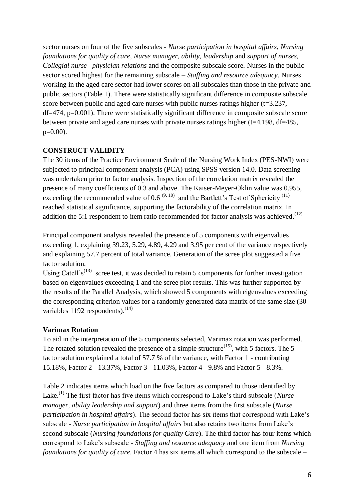sector nurses on four of the five subscales - *Nurse participation in hospital affairs*, *Nursing foundations for quality of care*, *Nurse manager, ability, leadership* and *support of nurses, Collegial nurse –physician relations* and the composite subscale score. Nurses in the public sector scored highest for the remaining subscale – *Staffing and resource adequacy*. Nurses working in the aged care sector had lower scores on all subscales than those in the private and public sectors (Table 1). There were statistically significant difference in composite subscale score between public and aged care nurses with public nurses ratings higher  $(t=3.237,$ df=474, p=0.001). There were statistically significant difference in composite subscale score between private and aged care nurses with private nurses ratings higher (t=4.198, df=485, p=0.00).

#### **CONSTRUCT VALIDITY**

The 30 items of the Practice Environment Scale of the Nursing Work Index (PES-NWI) were subjected to principal component analysis (PCA) using SPSS version 14.0. Data screening was undertaken prior to factor analysis. Inspection of the correlation matrix revealed the presence of many coefficients of 0.3 and above. The Kaiser-Meyer-Oklin value was 0.955, exceeding the recommended value of 0.6<sup> $(9, 10)$ </sup> and the Bartlett's Test of Sphericity<sup>(11)</sup> reached statistical significance, supporting the factorability of the correlation matrix. In addition the 5:1 respondent to item ratio recommended for factor analysis was achieved.<sup> $(12)$ </sup>

Principal component analysis revealed the presence of 5 components with eigenvalues exceeding 1, explaining 39.23, 5.29, 4.89, 4.29 and 3.95 per cent of the variance respectively and explaining 57.7 percent of total variance. Generation of the scree plot suggested a five factor solution.

Using Catell's<sup>(13)</sup> scree test, it was decided to retain 5 components for further investigation based on eigenvalues exceeding 1 and the scree plot results. This was further supported by the results of the Parallel Analysis, which showed 5 components with eigenvalues exceeding the corresponding criterion values for a randomly generated data matrix of the same size (30 variables  $1192$  respondents).<sup>(14)</sup>

## **Varimax Rotation**

To aid in the interpretation of the 5 components selected, Varimax rotation was performed. The rotated solution revealed the presence of a simple structure<sup> $(15)$ </sup>, with 5 factors. The 5 factor solution explained a total of 57.7 % of the variance, with Factor 1 - contributing 15.18%, Factor 2 - 13.37%, Factor 3 - 11.03%, Factor 4 - 9.8% and Factor 5 - 8.3%.

Table 2 indicates items which load on the five factors as compared to those identified by Lake.(1) The first factor has five items which correspond to Lake's third subscale (*Nurse manager, ability leadership and support*) and three items from the first subscale (*Nurse participation in hospital affairs*). The second factor has six items that correspond with Lake's subscale - *Nurse participation in hospital affairs* but also retains two items from Lake's second subscale (*Nursing foundations for quality Care*). The third factor has four items which correspond to Lake's subscale - *Staffing and resource adequacy* and one item from *Nursing foundations for quality of care*. Factor 4 has six items all which correspond to the subscale –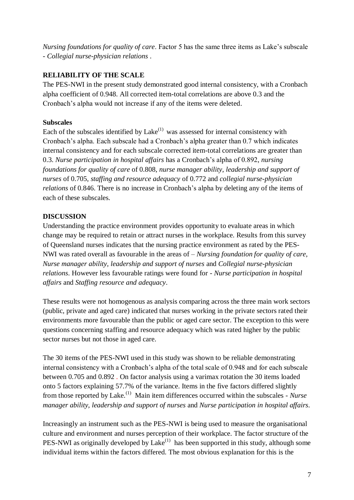*Nursing foundations for quality of care*. Factor 5 has the same three items as Lake's subscale - *Collegial nurse-physician relations* .

## **RELIABILITY OF THE SCALE**

The PES-NWI in the present study demonstrated good internal consistency, with a Cronbach alpha coefficient of 0.948. All corrected item-total correlations are above 0.3 and the Cronbach's alpha would not increase if any of the items were deleted.

## **Subscales**

Each of the subscales identified by  $\text{Take}^{(1)}$  was assessed for internal consistency with Cronbach's alpha. Each subscale had a Cronbach's alpha greater than 0.7 which indicates internal consistency and for each subscale corrected item-total correlations are greater than 0.3. *Nurse participation in hospital affairs* has a Cronbach's alpha of 0.892, *nursing foundations for quality of care* of 0.808, *nurse manager ability*, *leadership and support of nurses* of 0.705, *staffing and resource adequacy* of 0.772 and *collegial nurse-physician relations* of 0.846. There is no increase in Cronbach's alpha by deleting any of the items of each of these subscales.

## **DISCUSSION**

Understanding the practice environment provides opportunity to evaluate areas in which change may be required to retain or attract nurses in the workplace. Results from this survey of Queensland nurses indicates that the nursing practice environment as rated by the PES-NWI was rated overall as favourable in the areas of – *Nursing foundation for quality of care, Nurse manager ability, leadership and support of nurses* and *Collegial nurse-physician relations*. However less favourable ratings were found for - *Nurse participation in hospital affairs* and *Staffing resource and adequacy*.

These results were not homogenous as analysis comparing across the three main work sectors (public, private and aged care) indicated that nurses working in the private sectors rated their environments more favourable than the public or aged care sector. The exception to this were questions concerning staffing and resource adequacy which was rated higher by the public sector nurses but not those in aged care.

The 30 items of the PES-NWI used in this study was shown to be reliable demonstrating internal consistency with a Cronbach's alpha of the total scale of 0.948 and for each subscale between 0.705 and 0.892 . On factor analysis using a varimax rotation the 30 items loaded onto 5 factors explaining 57.7% of the variance. Items in the five factors differed slightly from those reported by Lake.<sup>(1)</sup> Main item differences occurred within the subscales - *Nurse manager ability, leadership and support of nurses* and *Nurse participation in hospital affairs*.

Increasingly an instrument such as the PES-NWI is being used to measure the organisational culture and environment and nurses perception of their workplace. The factor structure of the PES-NWI as originally developed by Lake $<sup>(1)</sup>$  has been supported in this study, although some</sup> individual items within the factors differed. The most obvious explanation for this is the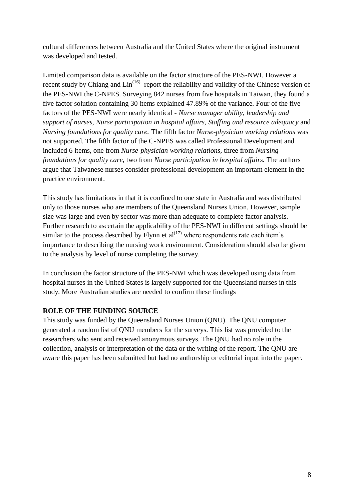cultural differences between Australia and the United States where the original instrument was developed and tested.

Limited comparison data is available on the factor structure of the PES-NWI. However a recent study by Chiang and  $\text{Lin}^{(16)}$  report the reliability and validity of the Chinese version of the PES-NWI the C-NPES. Surveying 842 nurses from five hospitals in Taiwan, they found a five factor solution containing 30 items explained 47.89% of the variance. Four of the five factors of the PES-NWI were nearly identical - *Nurse manager ability, leadership and support of nurses, Nurse participation in hospital affairs, Staffing and resource adequacy* and *Nursing foundations for quality care.* The fifth factor *Nurse-physician working relations* was not supported. The fifth factor of the C-NPES was called Professional Development and included 6 items, one from *Nurse-physician working relations,* three from *Nursing foundations for quality care,* two from *Nurse participation in hospital affairs.* The authors argue that Taiwanese nurses consider professional development an important element in the practice environment.

This study has limitations in that it is confined to one state in Australia and was distributed only to those nurses who are members of the Queensland Nurses Union. However, sample size was large and even by sector was more than adequate to complete factor analysis. Further research to ascertain the applicability of the PES-NWI in different settings should be similar to the process described by Flynn et  $al^{(17)}$  where respondents rate each item's importance to describing the nursing work environment. Consideration should also be given to the analysis by level of nurse completing the survey.

In conclusion the factor structure of the PES-NWI which was developed using data from hospital nurses in the United States is largely supported for the Queensland nurses in this study. More Australian studies are needed to confirm these findings

## **ROLE OF THE FUNDING SOURCE**

This study was funded by the Queensland Nurses Union (QNU). The QNU computer generated a random list of QNU members for the surveys. This list was provided to the researchers who sent and received anonymous surveys. The QNU had no role in the collection, analysis or interpretation of the data or the writing of the report. The QNU are aware this paper has been submitted but had no authorship or editorial input into the paper.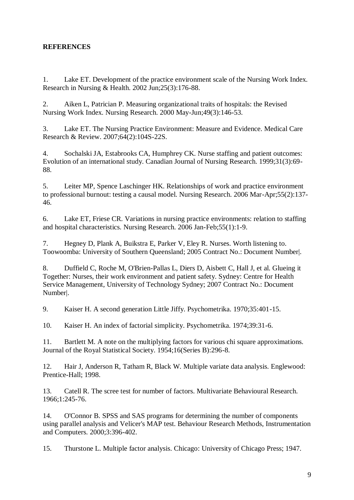## **REFERENCES**

1. Lake ET. Development of the practice environment scale of the Nursing Work Index. Research in Nursing & Health. 2002 Jun;25(3):176-88.

2. Aiken L, Patrician P. Measuring organizational traits of hospitals: the Revised Nursing Work Index. Nursing Research. 2000 May-Jun;49(3):146-53.

3. Lake ET. The Nursing Practice Environment: Measure and Evidence. Medical Care Research & Review. 2007;64(2):104S-22S.

4. Sochalski JA, Estabrooks CA, Humphrey CK. Nurse staffing and patient outcomes: Evolution of an international study. Canadian Journal of Nursing Research. 1999;31(3):69- 88.

5. Leiter MP, Spence Laschinger HK. Relationships of work and practice environment to professional burnout: testing a causal model. Nursing Research. 2006 Mar-Apr;55(2):137- 46.

6. Lake ET, Friese CR. Variations in nursing practice environments: relation to staffing and hospital characteristics. Nursing Research. 2006 Jan-Feb;55(1):1-9.

7. Hegney D, Plank A, Buikstra E, Parker V, Eley R. Nurses. Worth listening to. Toowoomba: University of Southern Queensland; 2005 Contract No.: Document Number|.

8. Duffield C, Roche M, O'Brien-Pallas L, Diers D, Aisbett C, Hall J, et al. Glueing it Together: Nurses, their work environment and patient safety. Sydney: Centre for Health Service Management, University of Technology Sydney; 2007 Contract No.: Document Number|.

9. Kaiser H. A second generation Little Jiffy. Psychometrika. 1970;35:401-15.

10. Kaiser H. An index of factorial simplicity. Psychometrika. 1974;39:31-6.

11. Bartlett M. A note on the multiplying factors for various chi square approximations. Journal of the Royal Statistical Society. 1954;16(Series B):296-8.

12. Hair J, Anderson R, Tatham R, Black W. Multiple variate data analysis. Englewood: Prentice-Hall; 1998.

13. Catell R. The scree test for number of factors. Multivariate Behavioural Research. 1966;1:245-76.

14. O'Connor B. SPSS and SAS programs for determining the number of components using parallel analysis and Velicer's MAP test. Behaviour Research Methods, Instrumentation and Computers. 2000;3:396-402.

15. Thurstone L. Multiple factor analysis. Chicago: University of Chicago Press; 1947.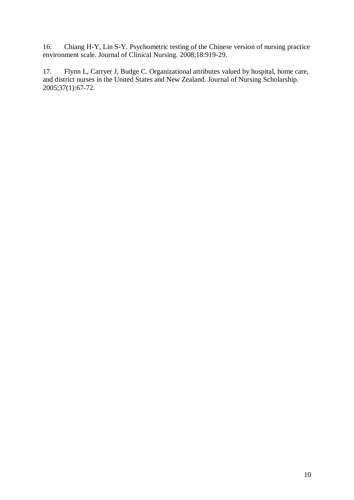16. Chiang H-Y, Lin S-Y. Psychometric testing of the Chinese version of nursing practice environment scale. Journal of Clinical Nursing. 2008;18:919-29.

17. Flynn L, Carryer J, Budge C. Organizational attributes valued by hospital, home care, and district nurses in the United States and New Zealand. Journal of Nursing Scholarship. 2005;37(1):67-72.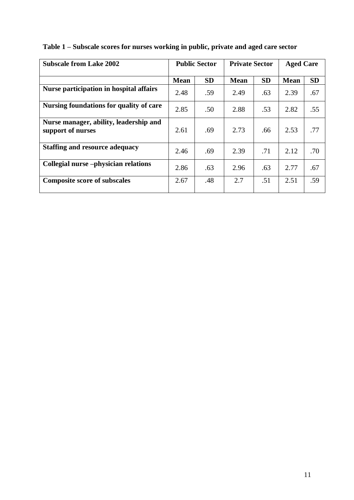| <b>Subscale from Lake 2002</b>                              | <b>Public Sector</b> |           | <b>Private Sector</b> |           | <b>Aged Care</b> |           |
|-------------------------------------------------------------|----------------------|-----------|-----------------------|-----------|------------------|-----------|
|                                                             | <b>Mean</b>          | <b>SD</b> | <b>Mean</b>           | <b>SD</b> | <b>Mean</b>      | <b>SD</b> |
| Nurse participation in hospital affairs                     | 2.48                 | .59       | 2.49                  | .63       | 2.39             | .67       |
| Nursing foundations for quality of care                     | 2.85                 | .50       | 2.88                  | .53       | 2.82             | .55       |
| Nurse manager, ability, leadership and<br>support of nurses | 2.61                 | .69       | 2.73                  | .66       | 2.53             | .77       |
| <b>Staffing and resource adequacy</b>                       | 2.46                 | .69       | 2.39                  | .71       | 2.12             | .70       |
| Collegial nurse -physician relations                        | 2.86                 | .63       | 2.96                  | .63       | 2.77             | .67       |
| <b>Composite score of subscales</b>                         | 2.67                 | .48       | 2.7                   | .51       | 2.51             | .59       |

|  | Table 1 – Subscale scores for nurses working in public, private and aged care sector |  |  |
|--|--------------------------------------------------------------------------------------|--|--|
|  |                                                                                      |  |  |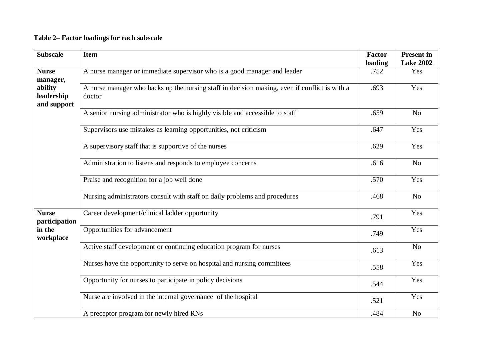## **Table 2– Factor loadings for each subscale**

| <b>Subscale</b>                                      | <b>Item</b>                                                                                             | Factor<br>loading | <b>Present in</b><br><b>Lake 2002</b> |
|------------------------------------------------------|---------------------------------------------------------------------------------------------------------|-------------------|---------------------------------------|
| <b>Nurse</b><br>manager,                             | A nurse manager or immediate supervisor who is a good manager and leader                                | .752              | Yes                                   |
| ability<br>leadership<br>and support                 | A nurse manager who backs up the nursing staff in decision making, even if conflict is with a<br>doctor | .693              | Yes                                   |
|                                                      | A senior nursing administrator who is highly visible and accessible to staff                            | .659              | N <sub>o</sub>                        |
|                                                      | Supervisors use mistakes as learning opportunities, not criticism                                       | .647              | Yes                                   |
|                                                      | A supervisory staff that is supportive of the nurses                                                    | .629              | Yes                                   |
|                                                      | Administration to listens and responds to employee concerns                                             | .616              | No                                    |
|                                                      | Praise and recognition for a job well done                                                              | .570              | Yes                                   |
|                                                      | Nursing administrators consult with staff on daily problems and procedures                              | .468              | N <sub>o</sub>                        |
| <b>Nurse</b><br>participation<br>in the<br>workplace | Career development/clinical ladder opportunity                                                          | .791              | Yes                                   |
|                                                      | Opportunities for advancement                                                                           | .749              | Yes                                   |
|                                                      | Active staff development or continuing education program for nurses                                     | .613              | N <sub>o</sub>                        |
|                                                      | Nurses have the opportunity to serve on hospital and nursing committees                                 | .558              | Yes                                   |
|                                                      | Opportunity for nurses to participate in policy decisions                                               | .544              | Yes                                   |
|                                                      | Nurse are involved in the internal governance of the hospital                                           | .521              | Yes                                   |
|                                                      | A preceptor program for newly hired RNs                                                                 | .484              | N <sub>o</sub>                        |